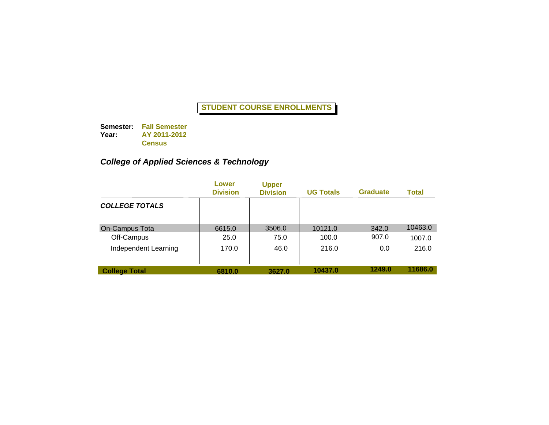**Semester: Fall Semester Year: AY 2011-2012 Census**

# *College of Applied Sciences & Technology*

|                       | Lower<br><b>Division</b> | <b>Upper</b><br><b>Division</b> | <b>UG Totals</b> | <b>Graduate</b> | Total   |
|-----------------------|--------------------------|---------------------------------|------------------|-----------------|---------|
| <b>COLLEGE TOTALS</b> |                          |                                 |                  |                 |         |
| On-Campus Tota        | 6615.0                   | 3506.0                          | 10121.0          | 342.0           | 10463.0 |
| Off-Campus            | 25.0                     | 75.0                            | 100.0            | 907.0           | 1007.0  |
| Independent Learning  | 170.0                    | 46.0                            | 216.0            | 0.0             | 216.0   |
| <b>College Total</b>  | 6810.0                   | 3627.0                          | 10437.0          | 1249.0          | 11686.0 |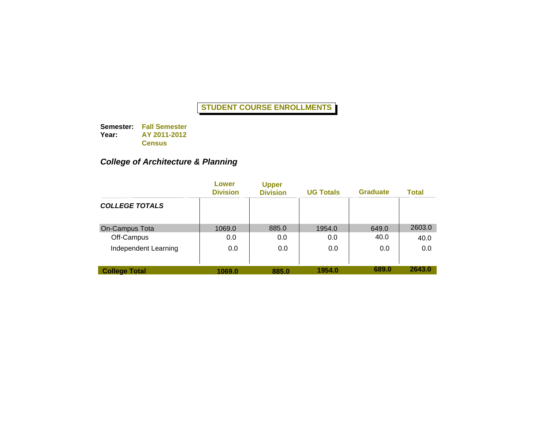**Semester: Fall Semester Year: AY 2011-2012 Census**

# *College of Architecture & Planning*

|                       | Lower<br><b>Division</b> | <b>Upper</b><br><b>Division</b> | <b>UG Totals</b> | <b>Graduate</b> | Total  |
|-----------------------|--------------------------|---------------------------------|------------------|-----------------|--------|
| <b>COLLEGE TOTALS</b> |                          |                                 |                  |                 |        |
| On-Campus Tota        | 1069.0                   | 885.0                           | 1954.0           | 649.0           | 2603.0 |
| Off-Campus            | 0.0                      | 0.0                             | 0.0              | 40.0            | 40.0   |
| Independent Learning  | 0.0                      | 0.0                             | 0.0              | 0.0             | 0.0    |
| <b>College Total</b>  | 1069.0                   | 885.0                           | 1954.0           | 689.0           | 2643.0 |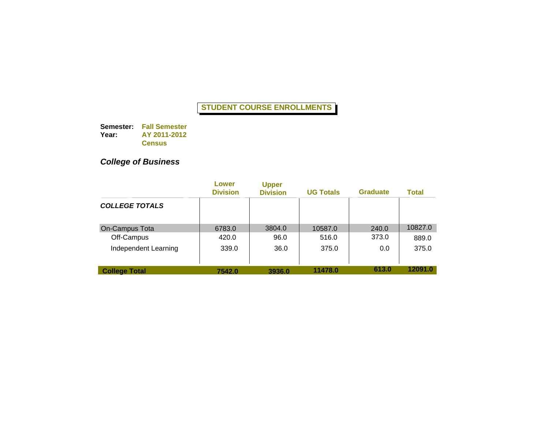**Semester: Fall Semester Year: AY 2011-2012 Census**

# *College of Business*

|                       | Lower<br><b>Division</b> | <b>Upper</b><br><b>Division</b> | <b>UG Totals</b> | <b>Graduate</b> | <b>Total</b> |
|-----------------------|--------------------------|---------------------------------|------------------|-----------------|--------------|
| <b>COLLEGE TOTALS</b> |                          |                                 |                  |                 |              |
| On-Campus Tota        | 6783.0                   | 3804.0                          | 10587.0          | 240.0           | 10827.0      |
| Off-Campus            | 420.0                    | 96.0                            | 516.0            | 373.0           | 889.0        |
| Independent Learning  | 339.0                    | 36.0                            | 375.0            | 0.0             | 375.0        |
| <b>College Total</b>  | 7542.0                   | 3936.0                          | 11478.0          | 613.0           | 12091.0      |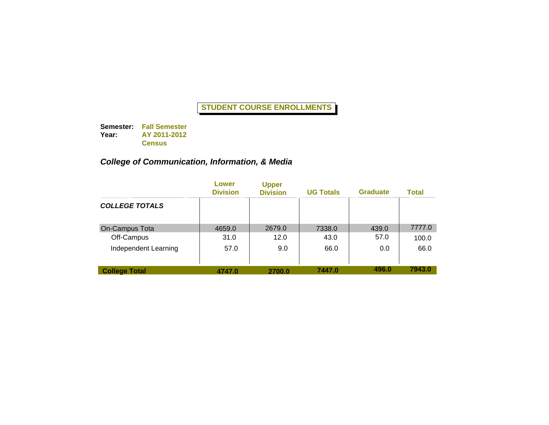**Semester: Fall Semester Year: AY 2011-2012 Census**

# *College of Communication, Information, & Media*

|                       | Lower<br><b>Division</b> | <b>Upper</b><br><b>Division</b> | <b>UG Totals</b> | <b>Graduate</b> | Total  |
|-----------------------|--------------------------|---------------------------------|------------------|-----------------|--------|
| <b>COLLEGE TOTALS</b> |                          |                                 |                  |                 |        |
| On-Campus Tota        | 4659.0                   | 2679.0                          | 7338.0           | 439.0           | 7777.0 |
| Off-Campus            | 31.0                     | 12.0                            | 43.0             | 57.0            | 100.0  |
| Independent Learning  | 57.0                     | 9.0                             | 66.0             | 0.0             | 66.0   |
| <b>College Total</b>  | 4747.0                   | 2700.0                          | 7447.0           | 496.0           | 7943.0 |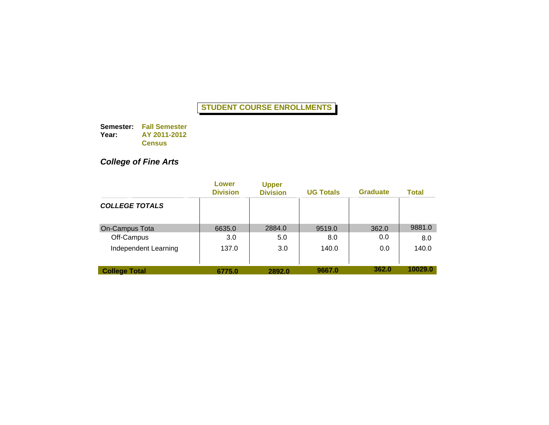**Semester: Fall Semester Year: AY 2011-2012 Census**

# *College of Fine Arts*

|                       | Lower<br><b>Division</b> | <b>Upper</b><br><b>Division</b> | <b>UG Totals</b> | <b>Graduate</b> | <b>Total</b> |
|-----------------------|--------------------------|---------------------------------|------------------|-----------------|--------------|
| <b>COLLEGE TOTALS</b> |                          |                                 |                  |                 |              |
| On-Campus Tota        | 6635.0                   | 2884.0                          | 9519.0           | 362.0           | 9881.0       |
| Off-Campus            | 3.0                      | 5.0                             | 8.0              | 0.0             | 8.0          |
| Independent Learning  | 137.0                    | 3.0                             | 140.0            | 0.0             | 140.0        |
| <b>College Total</b>  | 6775.0                   | 2892.0                          | 9667.0           | 362.0           | 10029.0      |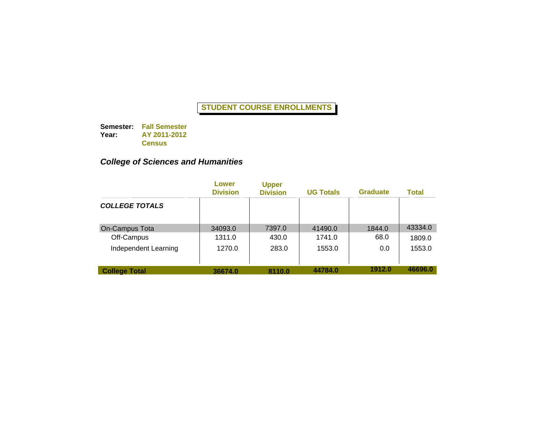**Semester: Fall Semester Year: AY 2011-2012 Census**

# *College of Sciences and Humanities*

|                       | Lower<br><b>Division</b> | <b>Upper</b><br><b>Division</b> | <b>UG Totals</b> | <b>Graduate</b> | Total   |
|-----------------------|--------------------------|---------------------------------|------------------|-----------------|---------|
| <b>COLLEGE TOTALS</b> |                          |                                 |                  |                 |         |
| <b>On-Campus Tota</b> | 34093.0                  | 7397.0                          | 41490.0          | 1844.0          | 43334.0 |
| Off-Campus            | 1311.0                   | 430.0                           | 1741.0           | 68.0            | 1809.0  |
| Independent Learning  | 1270.0                   | 283.0                           | 1553.0           | 0.0             | 1553.0  |
| <b>College Total</b>  | 36674.0                  | 8110.0                          | 44784.0          | 1912.0          | 46696.0 |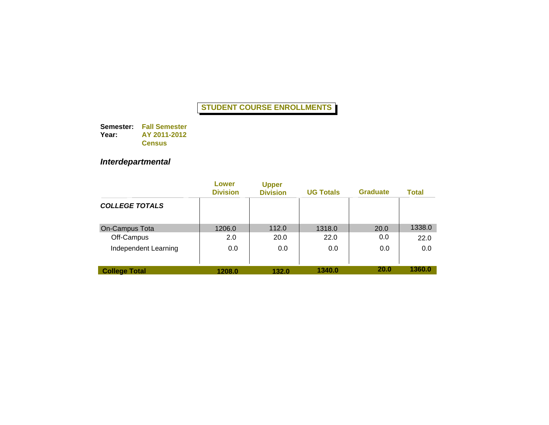**Semester: Fall Semester Year: AY 2011-2012 Census**

# *Interdepartmental*

|                       | Lower<br><b>Division</b> | <b>Upper</b><br><b>Division</b> | <b>UG Totals</b> | <b>Graduate</b> | <b>Total</b> |
|-----------------------|--------------------------|---------------------------------|------------------|-----------------|--------------|
| <b>COLLEGE TOTALS</b> |                          |                                 |                  |                 |              |
| On-Campus Tota        | 1206.0                   | 112.0                           | 1318.0           | 20.0            | 1338.0       |
| Off-Campus            | 2.0                      | 20.0                            | 22.0             | 0.0             | 22.0         |
| Independent Learning  | 0.0                      | 0.0                             | 0.0              | 0.0             | 0.0          |
| <b>College Total</b>  | 1208.0                   | 132.0                           | 1340.0           | <b>20.0</b>     | 1360.0       |